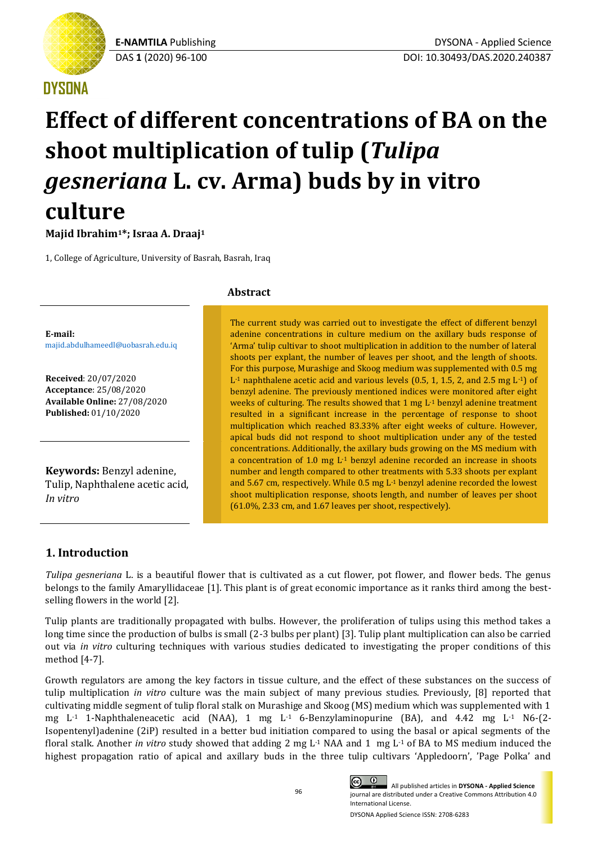**DYSONA** 

# **Effect of different concentrations of BA on the shoot multiplication of tulip (***Tulipa gesneriana* **L. cv. Arma) buds by in vitro culture**

**Majid Ibrahim1\*; Israa A. Draaj<sup>1</sup>**

1, College of Agriculture, University of Basrah, Basrah, Iraq

**E-mail:** [majid.abdulhameedl@uobasrah.edu.iq](mailto:majid.abdulhameedl@uobasrah.edu.iq)

**Received**: 20/07/2020 **Acceptance**: 25/08/2020 **Available Online:** 27/08/2020 **Published:** 01/10/2020

**Keywords:** Benzyl adenine, Tulip, Naphthalene acetic acid, *In vitro*

#### **Abstract**

The current study was carried out to investigate the effect of different benzyl adenine concentrations in culture medium on the axillary buds response of 'Arma' tulip cultivar to shoot multiplication in addition to the number of lateral shoots per explant, the number of leaves per shoot, and the length of shoots. For this purpose, Murashige and Skoog medium was supplemented with 0.5 mg  $L<sup>1</sup>$  naphthalene acetic acid and various levels (0.5, 1, 1.5, 2, and 2.5 mg  $L<sup>1</sup>$ ) of benzyl adenine. The previously mentioned indices were monitored after eight weeks of culturing. The results showed that 1 mg L-1 benzyl adenine treatment resulted in a significant increase in the percentage of response to shoot multiplication which reached 83.33% after eight weeks of culture. However, apical buds did not respond to shoot multiplication under any of the tested concentrations. Additionally, the axillary buds growing on the MS medium with a concentration of 1.0 mg  $L<sup>1</sup>$  benzyl adenine recorded an increase in shoots number and length compared to other treatments with 5.33 shoots per explant and 5.67 cm, respectively. While 0.5 mg L-1 benzyl adenine recorded the lowest shoot multiplication response, shoots length, and number of leaves per shoot (61.0%, 2.33 cm, and 1.67 leaves per shoot, respectively).

## **1. Introduction**

*Tulipa gesneriana* L. is a beautiful flower that is cultivated as a cut flower, pot flower, and flower beds. The genus belongs to the family Amaryllidaceae [1]. This plant is of great economic importance as it ranks third among the bestselling flowers in the world [2].

Tulip plants are traditionally propagated with bulbs. However, the proliferation of tulips using this method takes a long time since the production of bulbs is small (2-3 bulbs per plant) [3]. Tulip plant multiplication can also be carried out via *in vitro* culturing techniques with various studies dedicated to investigating the proper conditions of this method [4-7].

Growth regulators are among the key factors in tissue culture, and the effect of these substances on the success of tulip multiplication *in vitro* culture was the main subject of many previous studies. Previously, [8] reported that cultivating middle segment of tulip floral stalk on Murashige and Skoog (MS) medium which was supplemented with 1 mg  $L<sup>-1</sup>$  1-Naphthaleneacetic acid (NAA), 1 mg  $L<sup>-1</sup>$  6-Benzylaminopurine (BA), and 4.42 mg  $L<sup>-1</sup>$  N6-(2-Isopentenyl)adenine (2iP) resulted in a better bud initiation compared to using the basal or apical segments of the floral stalk. Another *in vitro* study showed that adding 2 mg L-1 NAA and 1 mg L-1 of BA to MS medium induced the highest propagation ratio of apical and axillary buds in the three tulip cultivars 'Appledoorn', 'Page Polka' and

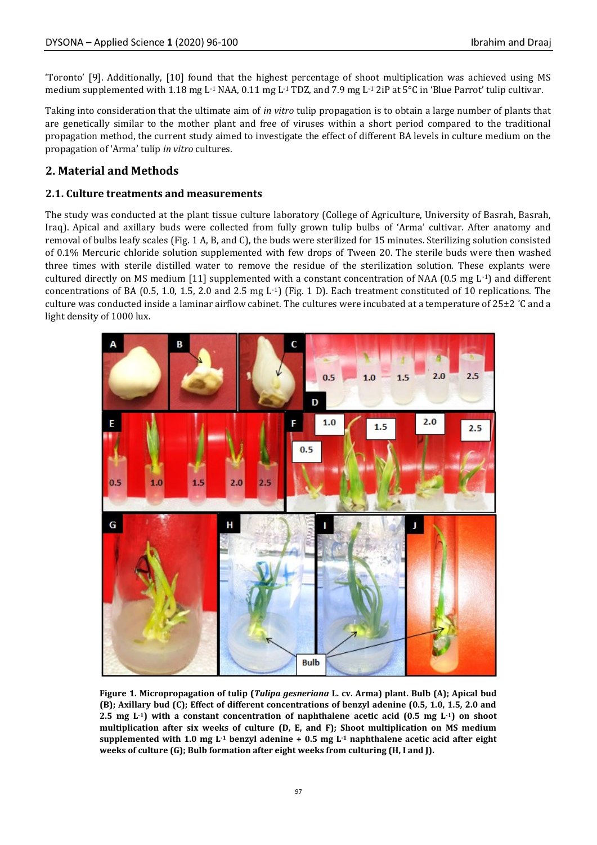'Toronto' [9]. Additionally, [10] found that the highest percentage of shoot multiplication was achieved using MS medium supplemented with 1.18 mg L<sup>-1</sup> NAA, 0.11 mg L<sup>-1</sup> TDZ, and 7.9 mg L<sup>-1</sup> 2iP at 5°C in 'Blue Parrot' tulip cultivar.

Taking into consideration that the ultimate aim of *in vitro* tulip propagation is to obtain a large number of plants that are genetically similar to the mother plant and free of viruses within a short period compared to the traditional propagation method, the current study aimed to investigate the effect of different BA levels in culture medium on the propagation of 'Arma' tulip *in vitro* cultures.

## **2. Material and Methods**

### **2.1. Culture treatments and measurements**

The study was conducted at the plant tissue culture laboratory (College of Agriculture, University of Basrah, Basrah, Iraq). Apical and axillary buds were collected from fully grown tulip bulbs of 'Arma' cultivar. After anatomy and removal of bulbs leafy scales (Fig. 1 A, B, and C), the buds were sterilized for 15 minutes. Sterilizing solution consisted of 0.1% Mercuric chloride solution supplemented with few drops of Tween 20. The sterile buds were then washed three times with sterile distilled water to remove the residue of the sterilization solution. These explants were cultured directly on MS medium [11] supplemented with a constant concentration of NAA (0.5 mg  $L^{-1}$ ) and different concentrations of BA (0.5, 1.0, 1.5, 2.0 and 2.5 mg L<sup>-1</sup>) (Fig. 1 D). Each treatment constituted of 10 replications. The culture was conducted inside a laminar airflow cabinet. The cultures were incubated at a temperature of  $25\pm2$  °C and a light density of 1000 lux.



**Figure 1. Micropropagation of tulip (***Tulipa gesneriana* **L. cv. Arma) plant. Bulb (A); Apical bud (B); Axillary bud (C); Effect of different concentrations of benzyl adenine (0.5, 1.0, 1.5, 2.0 and 2.5 mg L-1) with a constant concentration of naphthalene acetic acid (0.5 mg L-1) on shoot multiplication after six weeks of culture (D, E, and F); Shoot multiplication on MS medium supplemented with 1.0 mg L-1 benzyl adenine + 0.5 mg L-1 naphthalene acetic acid after eight weeks of culture (G); Bulb formation after eight weeks from culturing (H, I and J).**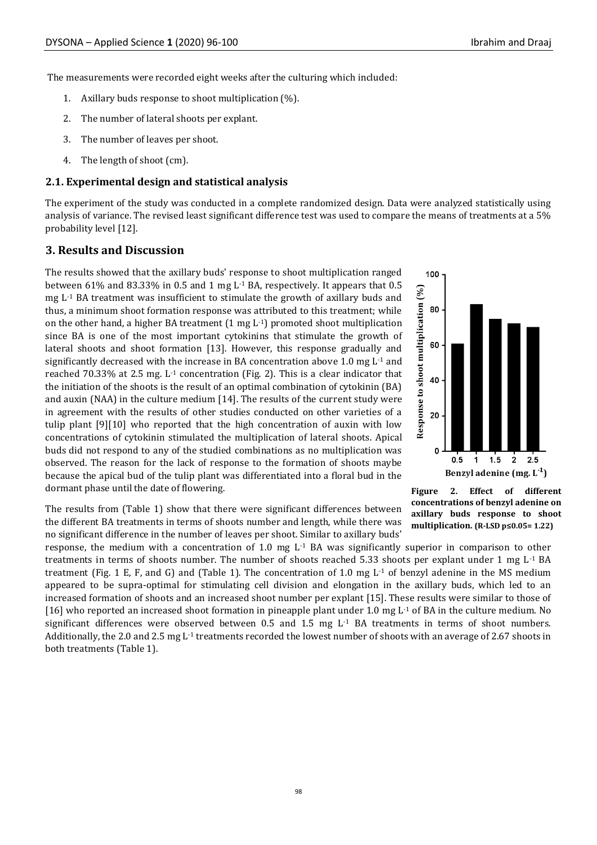The measurements were recorded eight weeks after the culturing which included:

- 1. Axillary buds response to shoot multiplication (%).
- 2. The number of lateral shoots per explant.
- 3. The number of leaves per shoot.
- 4. The length of shoot (cm).

#### **2.1. Experimental design and statistical analysis**

The experiment of the study was conducted in a complete randomized design. Data were analyzed statistically using analysis of variance. The revised least significant difference test was used to compare the means of treatments at a 5% probability level [12].

#### **3. Results and Discussion**

The results showed that the axillary buds' response to shoot multiplication ranged between 61% and 83.33% in 0.5 and 1 mg  $L<sup>1</sup>$  BA, respectively. It appears that 0.5 mg  $L<sup>1</sup>$  BA treatment was insufficient to stimulate the growth of axillary buds and thus, a minimum shoot formation response was attributed to this treatment; while on the other hand, a higher BA treatment (1 mg L-1) promoted shoot multiplication since BA is one of the most important cytokinins that stimulate the growth of lateral shoots and shoot formation [13]. However, this response gradually and significantly decreased with the increase in BA concentration above 1.0 mg  $L<sup>-1</sup>$  and reached 70.33% at 2.5 mg.  $L^{-1}$  concentration (Fig. 2). This is a clear indicator that the initiation of the shoots is the result of an optimal combination of cytokinin (BA) and auxin (NAA) in the culture medium [14]. The results of the current study were in agreement with the results of other studies conducted on other varieties of a tulip plant [9][10] who reported that the high concentration of auxin with low concentrations of cytokinin stimulated the multiplication of lateral shoots. Apical buds did not respond to any of the studied combinations as no multiplication was observed. The reason for the lack of response to the formation of shoots maybe because the apical bud of the tulip plant was differentiated into a floral bud in the dormant phase until the date of flowering.



The results from (Table 1) show that there were significant differences between the different BA treatments in terms of shoots number and length, while there was no significant difference in the number of leaves per shoot. Similar to axillary buds'



response, the medium with a concentration of 1.0 mg L<sup>-1</sup> BA was significantly superior in comparison to other treatments in terms of shoots number. The number of shoots reached 5.33 shoots per explant under 1 mg  $L<sup>-1</sup>$  BA treatment (Fig. 1 E, F, and G) and (Table 1). The concentration of 1.0 mg  $L<sup>-1</sup>$  of benzyl adenine in the MS medium appeared to be supra-optimal for stimulating cell division and elongation in the axillary buds, which led to an increased formation of shoots and an increased shoot number per explant [15]. These results were similar to those of [16] who reported an increased shoot formation in pineapple plant under 1.0 mg  $L<sup>-1</sup>$  of BA in the culture medium. No significant differences were observed between  $0.5$  and  $1.5$  mg  $L<sup>-1</sup>$  BA treatments in terms of shoot numbers. Additionally, the 2.0 and 2.5 mg L-1 treatments recorded the lowest number of shoots with an average of 2.67 shoots in both treatments (Table 1).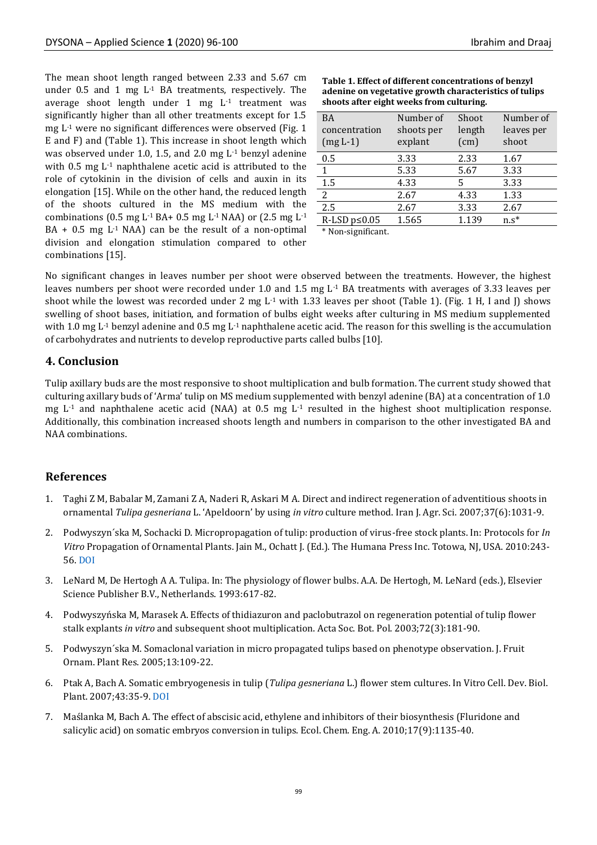The mean shoot length ranged between 2.33 and 5.67 cm under 0.5 and 1 mg  $L<sup>-1</sup>$  BA treatments, respectively. The average shoot length under 1 mg L-1 treatment was significantly higher than all other treatments except for 1.5 mg L-1 were no significant differences were observed (Fig. 1 E and F) and (Table 1). This increase in shoot length which was observed under 1.0, 1.5, and 2.0 mg  $L^{-1}$  benzyl adenine with 0.5 mg L<sup>-1</sup> naphthalene acetic acid is attributed to the role of cytokinin in the division of cells and auxin in its elongation [15]. While on the other hand, the reduced length of the shoots cultured in the MS medium with the combinations (0.5 mg L<sup>-1</sup> BA+ 0.5 mg L<sup>-1</sup> NAA) or (2.5 mg L<sup>-1</sup>  $BA + 0.5$  mg L<sup>-1</sup> NAA) can be the result of a non-optimal division and elongation stimulation compared to other combinations [15].

| Table 1. Effect of different concentrations of benzyl  |
|--------------------------------------------------------|
| adenine on vegetative growth characteristics of tulips |
| shoots after eight weeks from culturing.               |

| BA<br>concentration<br>$(mg L-1)$ | Number of<br>shoots per<br>explant | Shoot<br>length<br>(cm) | Number of<br>leaves per<br>shoot |
|-----------------------------------|------------------------------------|-------------------------|----------------------------------|
| 0.5                               | 3.33                               | 2.33                    | 1.67                             |
| $\mathbf{1}$                      | 5.33                               | 5.67                    | 3.33                             |
| 1.5                               | 4.33                               | 5                       | 3.33                             |
| 2                                 | 2.67                               | 4.33                    | 1.33                             |
| 2.5                               | 2.67                               | 3.33                    | 2.67                             |
| $R$ -LSD $p \le 0.05$             | 1.565                              | 1.139                   | $n.s^*$                          |

\* Non-significant.

No significant changes in leaves number per shoot were observed between the treatments. However, the highest leaves numbers per shoot were recorded under 1.0 and 1.5 mg L-1 BA treatments with averages of 3.33 leaves per shoot while the lowest was recorded under 2 mg  $L<sup>-1</sup>$  with 1.33 leaves per shoot (Table 1). (Fig. 1 H, I and J) shows swelling of shoot bases, initiation, and formation of bulbs eight weeks after culturing in MS medium supplemented with 1.0 mg L<sup>-1</sup> benzyl adenine and 0.5 mg L<sup>-1</sup> naphthalene acetic acid. The reason for this swelling is the accumulation of carbohydrates and nutrients to develop reproductive parts called bulbs [10].

## **4. Conclusion**

Tulip axillary buds are the most responsive to shoot multiplication and bulb formation. The current study showed that culturing axillary buds of 'Arma' tulip on MS medium supplemented with benzyl adenine (BA) at a concentration of 1.0 mg L-1 and naphthalene acetic acid (NAA) at 0.5 mg L-1 resulted in the highest shoot multiplication response. Additionally, this combination increased shoots length and numbers in comparison to the other investigated BA and NAA combinations.

## **References**

- 1. Taghi Z M, Babalar M, Zamani Z A, Naderi R, Askari M A. Direct and indirect regeneration of adventitious shoots in ornamental *Tulipa gesneriana* L. 'Apeldoorn' by using *in vitro* culture method. Iran J. Agr. Sci. 2007;37(6):1031-9.
- 2. Podwyszyn´ska M, Sochacki D. Micropropagation of tulip: production of virus-free stock plants. In: Protocols for *In Vitro* Propagation of Ornamental Plants. Jain M., Ochatt J. (Ed.). The Humana Press Inc. Totowa, NJ, USA. 2010:243- 56[. DOI](https://doi.org/10.1007/978-1-60327-114-1_23)
- 3. LeNard M, De Hertogh A A. Tulipa. In: The physiology of flower bulbs. A.A. De Hertogh, M. LeNard (eds.), Elsevier Science Publisher B.V., Netherlands. 1993:617-82.
- 4. Podwyszyńska M, Marasek A. Effects of thidiazuron and paclobutrazol on regeneration potential of tulip flower stalk explants *in vitro* and subsequent shoot multiplication. Acta Soc. Bot. Pol. 2003;72(3):181-90.
- 5. Podwyszyn´ska M. Somaclonal variation in micro propagated tulips based on phenotype observation. J. Fruit Ornam. Plant Res. 2005;13:109-22.
- 6. Ptak A, Bach A. Somatic embryogenesis in tulip (*Tulipa gesneriana* L.) flower stem cultures. In Vitro Cell. Dev. Biol. Plant. 2007;43:35-9[. DOI](https://doi.org/10.1007/s11627-006-9004-7)
- 7. Maślanka M, Bach A. The effect of abscisic acid, ethylene and inhibitors of their biosynthesis (Fluridone and salicylic acid) on somatic embryos conversion in tulips. Ecol. Chem. Eng. A. 2010;17(9):1135-40.